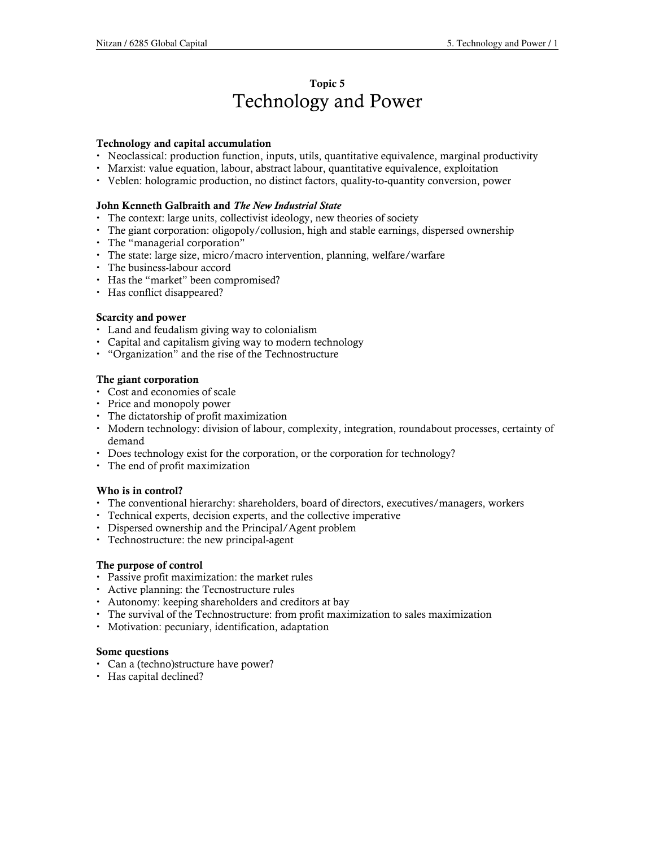# Topic 5 Technology and Power

## Technology and capital accumulation

- Neoclassical: production function, inputs, utils, quantitative equivalence, marginal productivity
- Marxist: value equation, labour, abstract labour, quantitative equivalence, exploitation
- Veblen: hologramic production, no distinct factors, quality-to-quantity conversion, power

## John Kenneth Galbraith and The New Industrial State

- The context: large units, collectivist ideology, new theories of society
- The giant corporation: oligopoly/collusion, high and stable earnings, dispersed ownership
- The "managerial corporation"
- The state: large size, micro/macro intervention, planning, welfare/warfare
- The business-labour accord
- Has the "market" been compromised?
- Has conflict disappeared?

# Scarcity and power

- Land and feudalism giving way to colonialism
- Capital and capitalism giving way to modern technology
- "Organization" and the rise of the Technostructure

# The giant corporation

- Cost and economies of scale
- Price and monopoly power
- The dictatorship of profit maximization
- Modern technology: division of labour, complexity, integration, roundabout processes, certainty of demand
- Does technology exist for the corporation, or the corporation for technology?
- The end of profit maximization

## Who is in control?

- The conventional hierarchy: shareholders, board of directors, executives/managers, workers
- Technical experts, decision experts, and the collective imperative
- Dispersed ownership and the Principal/Agent problem
- Technostructure: the new principal-agent

## The purpose of control

- Passive profit maximization: the market rules
- Active planning: the Tecnostructure rules
- Autonomy: keeping shareholders and creditors at bay
- The survival of the Technostructure: from profit maximization to sales maximization
- Motivation: pecuniary, identification, adaptation

## Some questions

- Can a (techno)structure have power?
- Has capital declined?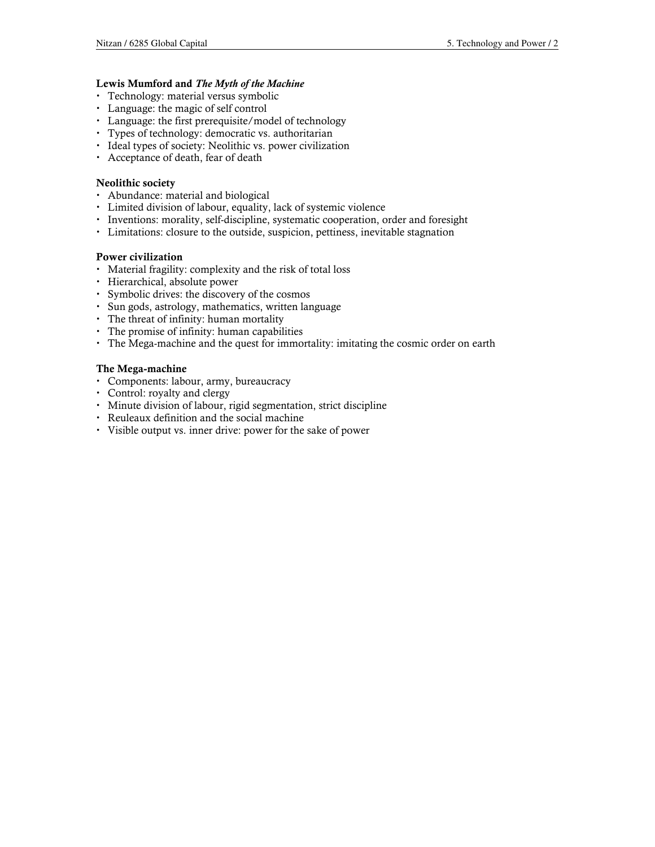## Lewis Mumford and The Myth of the Machine

- Technology: material versus symbolic
- Language: the magic of self control
- Language: the first prerequisite/model of technology
- Types of technology: democratic vs. authoritarian
- Ideal types of society: Neolithic vs. power civilization
- Acceptance of death, fear of death

#### Neolithic society

- Abundance: material and biological
- Limited division of labour, equality, lack of systemic violence
- Inventions: morality, self-discipline, systematic cooperation, order and foresight
- Limitations: closure to the outside, suspicion, pettiness, inevitable stagnation

#### Power civilization

- Material fragility: complexity and the risk of total loss
- Hierarchical, absolute power
- Symbolic drives: the discovery of the cosmos
- Sun gods, astrology, mathematics, written language
- The threat of infinity: human mortality
- The promise of infinity: human capabilities
- The Mega-machine and the quest for immortality: imitating the cosmic order on earth

#### The Mega-machine

- Components: labour, army, bureaucracy
- Control: royalty and clergy
- Minute division of labour, rigid segmentation, strict discipline
- Reuleaux definition and the social machine
- Visible output vs. inner drive: power for the sake of power